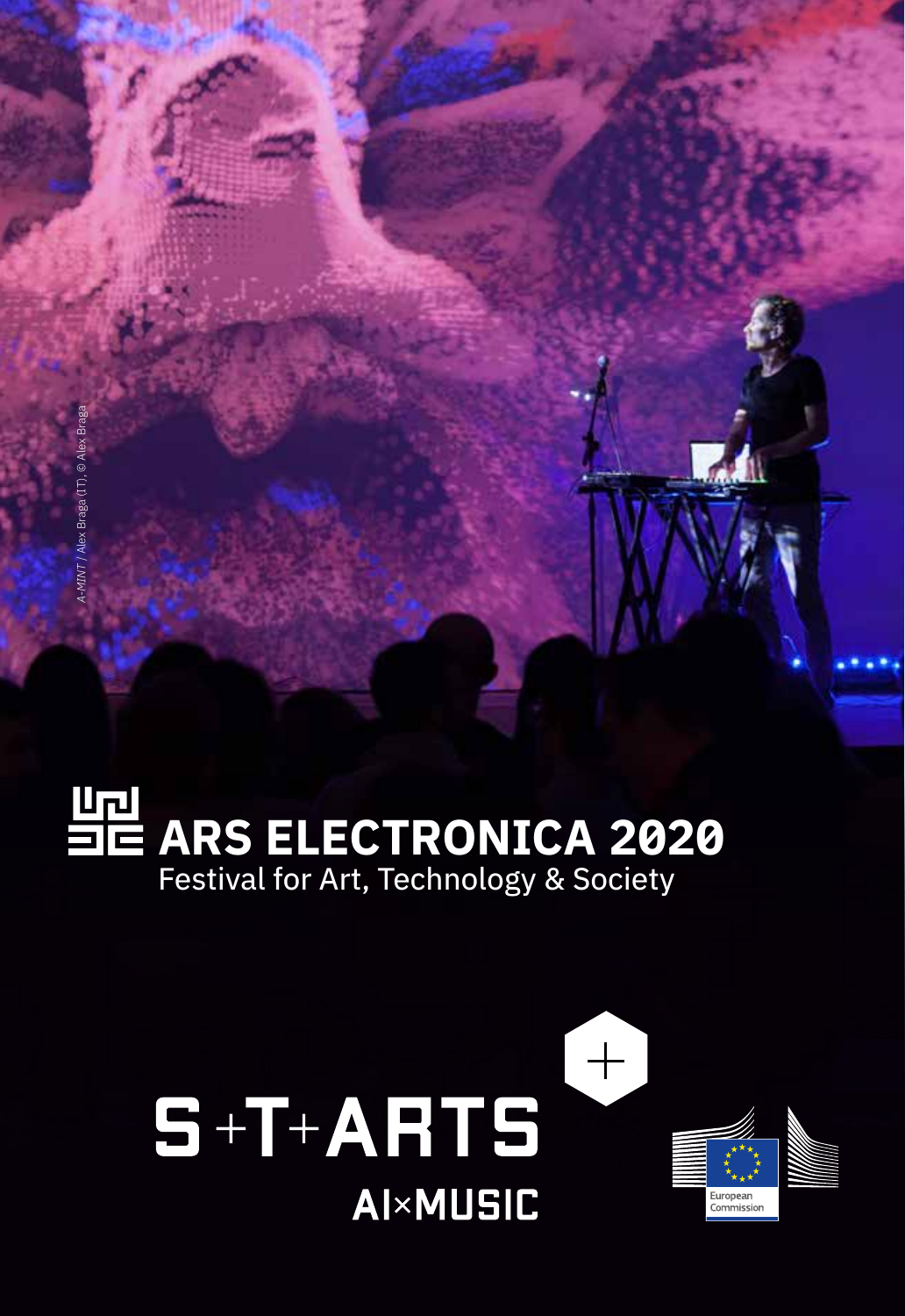# **ARS ELECTRONICA 2020** Festival for Art, Technology & Society

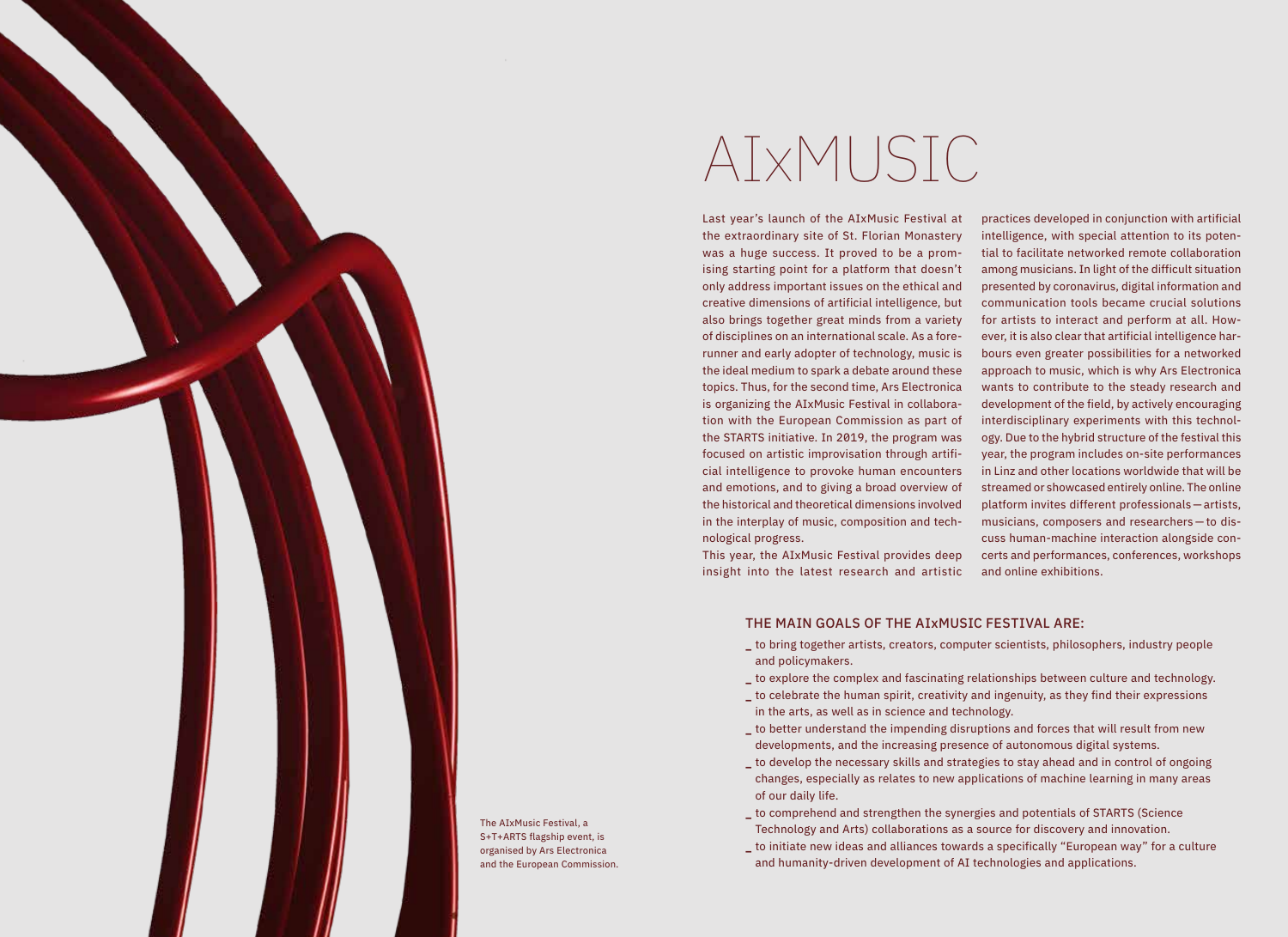

The AIxMusic Festival, a S+T+ARTS flagship event, is organised by Ars Electronica and the European Commission.

# AIxMUSIC

Last year's launch of the AIxMusic Festival at the extraordinary site of St. Florian Monastery was a huge success. It proved to be a promising starting point for a platform that doesn't only address important issues on the ethical and creative dimensions of artificial intelligence, but also brings together great minds from a variety of disciplines on an international scale. As a forerunner and early adopter of technology, music is the ideal medium to spark a debate around these topics. Thus, for the second time, Ars Electronica is organizing the AIxMusic Festival in collaboration with the European Commission as part of the STARTS initiative. In 2019, the program was focused on artistic improvisation through artificial intelligence to provoke human encounters and emotions, and to giving a broad overview of the historical and theoretical dimensions involved in the interplay of music, composition and technological progress.

This year, the AIxMusic Festival provides deep insight into the latest research and artistic practices developed in conjunction with artificial intelligence, with special attention to its potential to facilitate networked remote collaboration among musicians. In light of the difficult situation presented by coronavirus, digital information and communication tools became crucial solutions for artists to interact and perform at all. However, it is also clear that artificial intelligence harbours even greater possibilities for a networked approach to music, which is why Ars Electronica wants to contribute to the steady research and development of the field, by actively encouraging interdisciplinary experiments with this technology. Due to the hybrid structure of the festival this year, the program includes on-site performances in Linz and other locations worldwide that will be streamed or showcased entirely online. The online platform invites different professionals—artists, musicians, composers and researchers — to discuss human-machine interaction alongside concerts and performances, conferences, workshops and online exhibitions.

#### THE MAIN GOALS OF THE AIxMUSIC FESTIVAL ARE:

- **\_** to bring together artists, creators, computer scientists, philosophers, industry people and policymakers.
- **\_** to explore the complex and fascinating relationships between culture and technology.
- **\_** to celebrate the human spirit, creativity and ingenuity, as they find their expressions in the arts, as well as in science and technology.
- **\_** to better understand the impending disruptions and forces that will result from new developments, and the increasing presence of autonomous digital systems.
- **\_** to develop the necessary skills and strategies to stay ahead and in control of ongoing changes, especially as relates to new applications of machine learning in many areas of our daily life.
- **\_** to comprehend and strengthen the synergies and potentials of STARTS (Science Technology and Arts) collaborations as a source for discovery and innovation.
- **\_** to initiate new ideas and alliances towards a specifically "European way" for a culture and humanity-driven development of AI technologies and applications.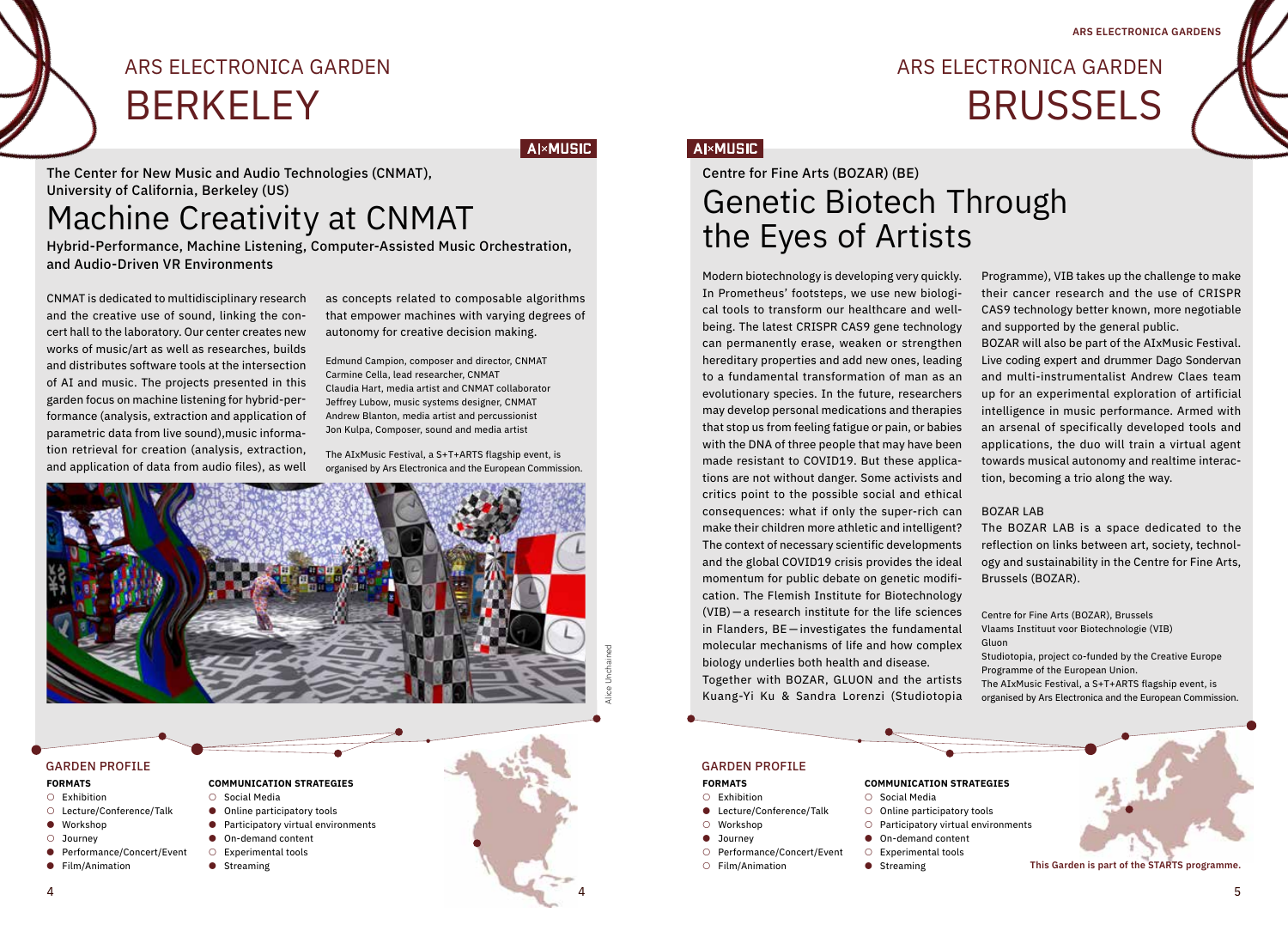## ARS ELECTRONICA GARDEN BRUSSELS

**AI×MUSIC** 

The Center for New Music and Audio Technologies (CNMAT), University of California, Berkeley (US)

ARS ELECTRONICA GARDEN

**BERKELEY** 

## Machine Creativity at CNMAT

Hybrid-Performance, Machine Listening, Computer-Assisted Music Orchestration, and Audio-Driven VR Environments

CNMAT is dedicated to multidisciplinary research and the creative use of sound, linking the concert hall to the laboratory. Our center creates new works of music/art as well as researches, builds and distributes software tools at the intersection of AI and music. The projects presented in this garden focus on machine listening for hybrid-performance (analysis, extraction and application of parametric data from live sound),music information retrieval for creation (analysis, extraction, and application of data from audio files), as well as concepts related to composable algorithms that empower machines with varying degrees of autonomy for creative decision making.

**Al×MUSIC** 

Edmund Campion, composer and director, CNMAT Carmine Cella, lead researcher, CNMAT Claudia Hart, media artist and CNMAT collaborator Jeffrey Lubow, music systems designer, CNMAT Andrew Blanton, media artist and percussionist Jon Kulpa, Composer, sound and media artist

The AIxMusic Festival, a S+T+ARTS flagship event, is organised by Ars Electronica and the European Commission.



#### **FORMATS**

#### ○ Exhibition

- Lecture/Conference/Talk
- Workshop
- Journey
- Performance/Concert/Event
- Film/Animation
- Social Media ● Online participatory tools
- 
- Participatory virtual environments
- On-demand content ○ Experimental tools
	-
	- Streaming

Modern biotechnology is developing very quickly. In Prometheus' footsteps, we use new biological tools to transform our healthcare and wellbeing. The latest CRISPR CAS9 gene technology can permanently erase, weaken or strengthen hereditary properties and add new ones, leading to a fundamental transformation of man as an evolutionary species. In the future, researchers may develop personal medications and therapies that stop us from feeling fatigue or pain, or babies with the DNA of three people that may have been made resistant to COVID19. But these applications are not without danger. Some activists and critics point to the possible social and ethical consequences: what if only the super-rich can make their children more athletic and intelligent? The context of necessary scientific developments and the global COVID19 crisis provides the ideal momentum for public debate on genetic modification. The Flemish Institute for Biotechnology (VIB) — a research institute for the life sciences in Flanders, BE — investigates the fundamental molecular mechanisms of life and how complex biology underlies both health and disease.

Together with BOZAR, GLUON and the artists Kuang-Yi Ku & Sandra Lorenzi (Studiotopia

GARDEN PROFILE GARDEN PROFILE

#### **FORMATS**

- Exhibition
- Lecture/Conference/Talk
- Workshop
- Journey

4

- Performance/Concert/Event
- Film/Animation

○ Social Media

- Online participatory tools
- Participatory virtual environments
- On-demand content
- Experimental tools
- 

Programme), VIB takes up the challenge to make their cancer research and the use of CRISPR CAS9 technology better known, more negotiable and supported by the general public.

BOZAR will also be part of the AIxMusic Festival. Live coding expert and drummer Dago Sondervan and multi-instrumentalist Andrew Claes team up for an experimental exploration of artificial intelligence in music performance. Armed with an arsenal of specifically developed tools and applications, the duo will train a virtual agent towards musical autonomy and realtime interaction, becoming a trio along the way.

#### BOZAR LAB

The BOZAR LAB is a space dedicated to the reflection on links between art, society, technology and sustainability in the Centre for Fine Arts, Brussels (BOZAR).

Centre for Fine Arts (BOZAR), Brussels Vlaams Instituut voor Biotechnologie (VIB) Gluon Studiotopia, project co-funded by the Creative Europe Programme of the European Union.

The AIxMusic Festival, a S+T+ARTS flagship event, is organised by Ars Electronica and the European Commission.

- -

**COMMUNICATION STRATEGIES**

- 
- 
- Streaming

Centre for Fine Arts (BOZAR) (BE) Genetic Biotech Through the Eyes of Artists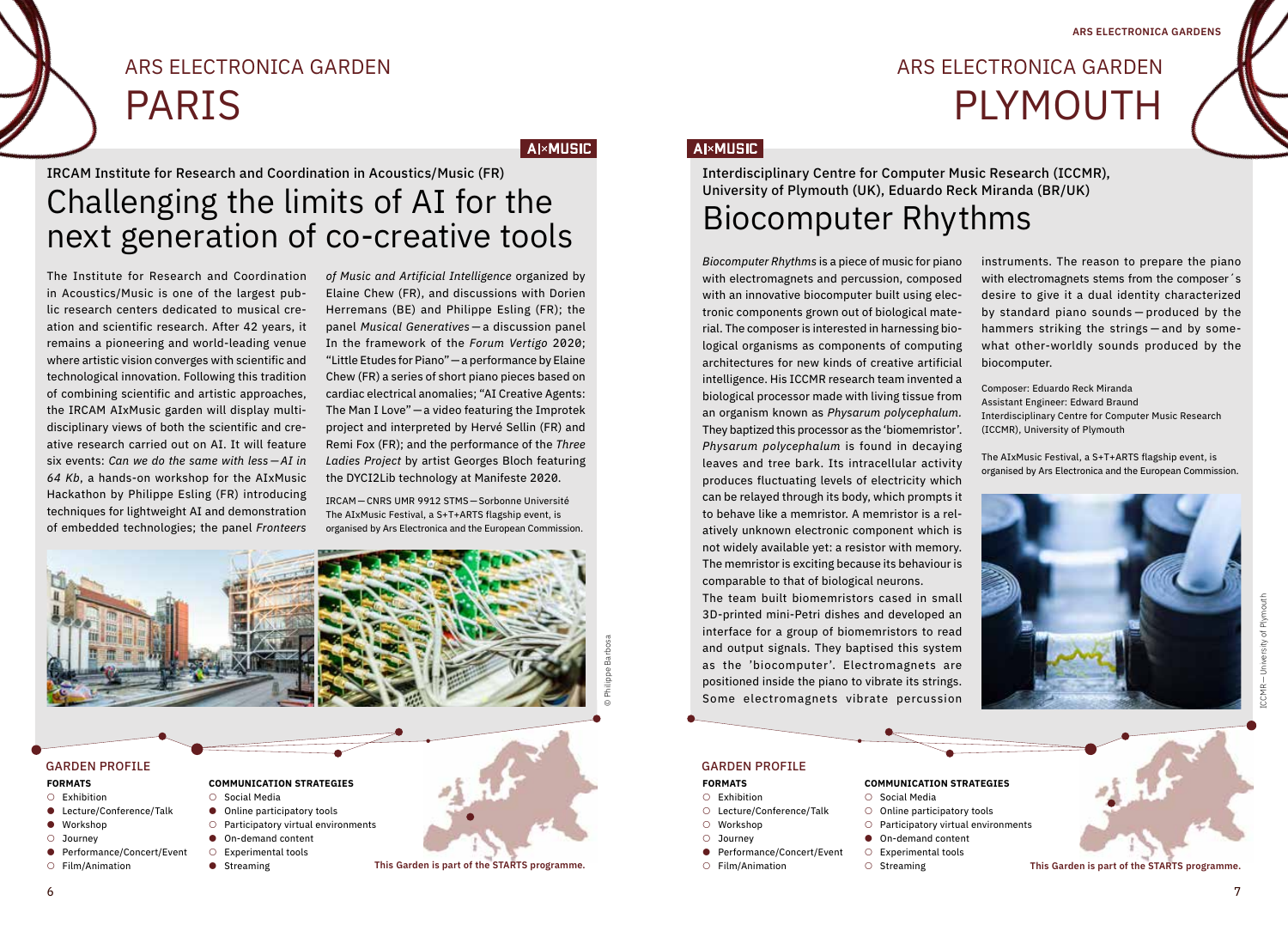# ARS ELECTRONICA GARDEN PLYMOUTH

IRCAM Institute for Research and Coordination in Acoustics/Music (FR) Challenging the limits of AI for the next generation of co-creative tools

ARS ELECTRONICA GARDEN

The Institute for Research and Coordination in Acoustics/Music is one of the largest public research centers dedicated to musical creation and scientific research. After 42 years, it remains a pioneering and world-leading venue where artistic vision converges with scientific and technological innovation. Following this tradition of combining scientific and artistic approaches, the IRCAM AIxMusic garden will display multidisciplinary views of both the scientific and creative research carried out on AI. It will feature six events: *Can we do the same with less — AI in 64 Kb*, a hands-on workshop for the AIxMusic Hackathon by Philippe Esling (FR) introducing techniques for lightweight AI and demonstration of embedded technologies; the panel *Fronteers* 

PARIS

*of Music and Artificial Intelligence* organized by Elaine Chew (FR), and discussions with Dorien Herremans (BE) and Philippe Esling (FR); the panel *Musical Generatives* — a discussion panel In the framework of the *Forum Vertigo* 2020; "Little Etudes for Piano"—a performance by Elaine Chew (FR) a series of short piano pieces based on cardiac electrical anomalies; "AI Creative Agents: The Man I Love"—a video featuring the Improtek project and interpreted by Hervé Sellin (FR) and Remi Fox (FR); and the performance of the *Three Ladies Project* by artist Georges Bloch featuring the DYCI2Lib technology at Manifeste 2020.

**AI**×MUSIC

IRCAM —CNRS UMR 9912 STMS—Sorbonne Université The AIxMusic Festival, a S+T+ARTS flagship event, is organised by Ars Electronica and the European Commission.



#### **FORMATS**

- Exhibition
- Lecture/Conference/Talk ● Workshop
- 
- Journey ● Performance/Concert/Event
- Film/Animation
- 
- Social Media ● Online participatory tools
- Participatory virtual environments
- On-demand content
- Experimental tools
- Streaming



## **AI×MUSIC**

Interdisciplinary Centre for Computer Music Research (ICCMR), University of Plymouth (UK), Eduardo Reck Miranda (BR/UK) Biocomputer Rhythms

*Biocomputer Rhythms* is a piece of music for piano with electromagnets and percussion, composed with an innovative biocomputer built using electronic components grown out of biological material. The composer is interested in harnessing biological organisms as components of computing architectures for new kinds of creative artificial intelligence. His ICCMR research team invented a biological processor made with living tissue from an organism known as *Physarum polycephalum.* They baptized this processor as the 'biomemristor'. *Physarum polycephalum* is found in decaying leaves and tree bark. Its intracellular activity produces fluctuating levels of electricity which can be relayed through its body, which prompts it to behave like a memristor. A memristor is a relatively unknown electronic component which is not widely available yet: a resistor with memory. The memristor is exciting because its behaviour is comparable to that of biological neurons.

The team built biomemristors cased in small 3D-printed mini-Petri dishes and developed an interface for a group of biomemristors to read and output signals. They baptised this system as the 'biocomputer'. Electromagnets are positioned inside the piano to vibrate its strings. Some electromagnets vibrate percussion

instruments. The reason to prepare the piano with electromagnets stems from the composer´s desire to give it a dual identity characterized by standard piano sounds — produced by the hammers striking the strings — and by somewhat other-worldly sounds produced by the biocomputer.

Composer: Eduardo Reck Miranda Assistant Engineer: Edward Braund Interdisciplinary Centre for Computer Music Research (ICCMR), University of Plymouth

The AIxMusic Festival, a S+T+ARTS flagship event, is organised by Ars Electronica and the European Commission.



○ Lecture/Conference/Talk

● Performance/Concert/Event

#### **FORMATS** ○ Exhibition

○ Workshop ○ Journey

○ Film/Animation

- Social Media
- Online participatory tools
	- Participatory virtual environments

**COMMUNICATION STRATEGIES**

- On-demand content
- Experimental tools
- 
- Streaming **This Garden is part of the STARTS programme.**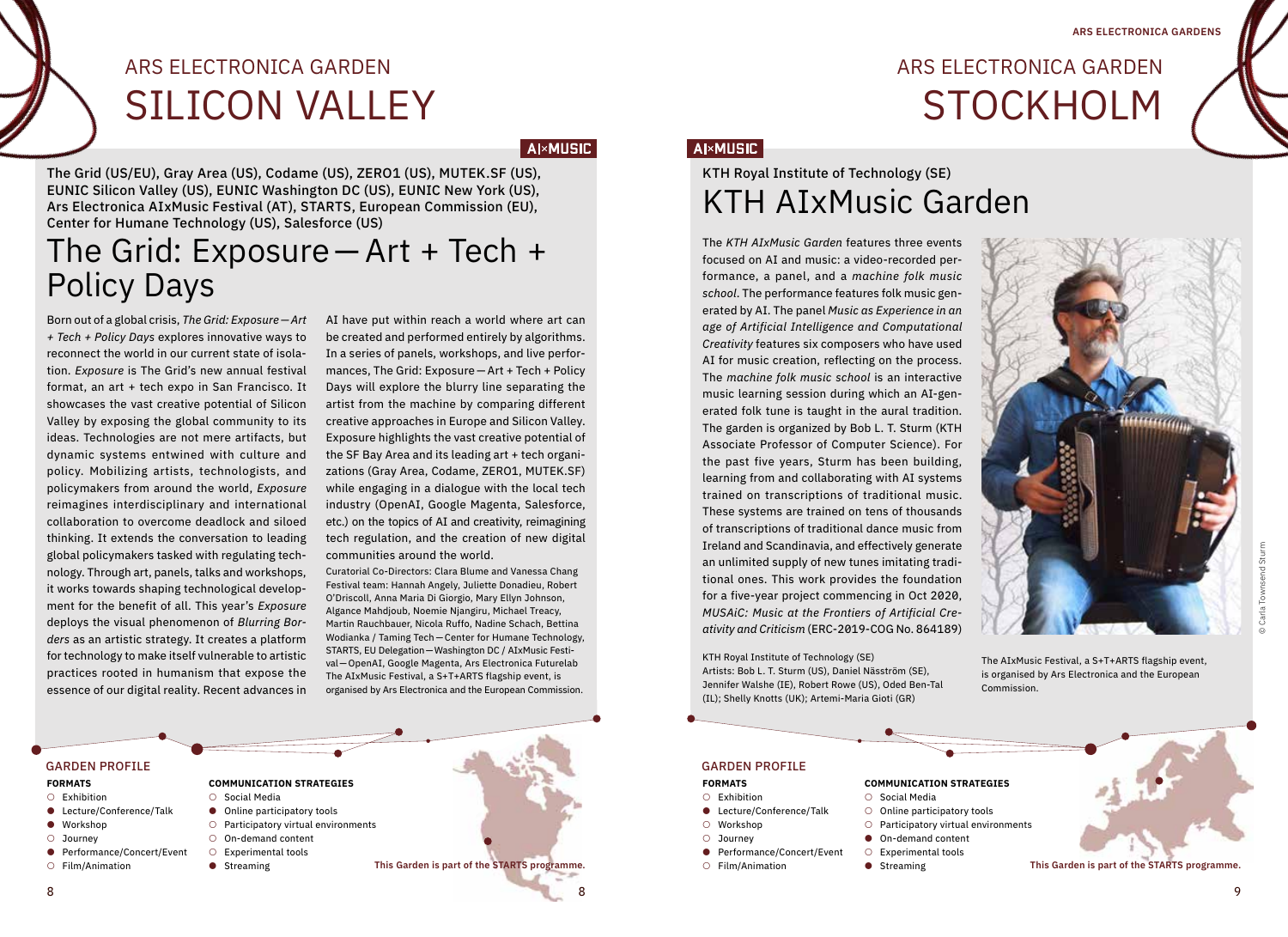ARS ELECTRONICA GARDEN

STOCKHOLM

# ARS ELECTRONICA GARDEN SILICON VALLEY

**AI×MUSIC** 

The Grid (US/EU), Gray Area (US), Codame (US), ZERO1 (US), MUTEK.SF (US), EUNIC Silicon Valley (US), EUNIC Washington DC (US), EUNIC New York (US), Ars Electronica AIxMusic Festival (AT), STARTS, European Commission (EU), Center for Humane Technology (US), Salesforce (US)

## The Grid: Exposure—Art + Tech + Policy Days

Born out of a global crisis, *The Grid: Exposure—Art + Tech + Policy Days* explores innovative ways to reconnect the world in our current state of isolation. *Exposure* is The Grid's new annual festival format, an art + tech expo in San Francisco. It showcases the vast creative potential of Silicon Valley by exposing the global community to its ideas. Technologies are not mere artifacts, but dynamic systems entwined with culture and policy. Mobilizing artists, technologists, and policymakers from around the world, *Exposure* reimagines interdisciplinary and international collaboration to overcome deadlock and siloed thinking. It extends the conversation to leading global policymakers tasked with regulating technology. Through art, panels, talks and workshops, it works towards shaping technological development for the benefit of all. This year's *Exposure* deploys the visual phenomenon of *Blurring Borders* as an artistic strategy. It creates a platform for technology to make itself vulnerable to artistic practices rooted in humanism that expose the essence of our digital reality. Recent advances in

AI have put within reach a world where art can be created and performed entirely by algorithms. In a series of panels, workshops, and live performances, The Grid: Exposure —Art + Tech + Policy Days will explore the blurry line separating the artist from the machine by comparing different creative approaches in Europe and Silicon Valley. Exposure highlights the vast creative potential of the SF Bay Area and its leading art + tech organizations (Gray Area, Codame, ZERO1, MUTEK.SF) while engaging in a dialogue with the local tech industry (OpenAI, Google Magenta, Salesforce, etc.) on the topics of AI and creativity, reimagining tech regulation, and the creation of new digital communities around the world.

Curatorial Co-Directors: Clara Blume and Vanessa Chang Festival team: Hannah Angely, Juliette Donadieu, Robert O'Driscoll, Anna Maria Di Giorgio, Mary Ellyn Johnson, Algance Mahdjoub, Noemie Njangiru, Michael Treacy, Martin Rauchbauer, Nicola Ruffo, Nadine Schach, Bettina Wodianka / Taming Tech—Center for Humane Technology, STARTS, EU Delegation—Washington DC / AIxMusic Festival—OpenAI, Google Magenta, Ars Electronica Futurelab The AIxMusic Festival, a S+T+ARTS flagship event, is organised by Ars Electronica and the European Commission.

### **AI×MUSIC**

## KTH Royal Institute of Technology (SE) KTH AIxMusic Garden

The *KTH AIxMusic Garden* features three events focused on AI and music: a video-recorded performance, a panel, and a *machine folk music school*. The performance features folk music generated by AI. The panel *Music as Experience in an age of Artificial Intelligence and Computational Creativity* features six composers who have used AI for music creation, reflecting on the process. The *machine folk music school* is an interactive music learning session during which an AI-generated folk tune is taught in the aural tradition. The garden is organized by Bob L. T. Sturm (KTH Associate Professor of Computer Science). For the past five years, Sturm has been building, learning from and collaborating with AI systems trained on transcriptions of traditional music. These systems are trained on tens of thousands of transcriptions of traditional dance music from Ireland and Scandinavia, and effectively generate an unlimited supply of new tunes imitating traditional ones. This work provides the foundation for a five-year project commencing in Oct 2020, *MUSAiC: Music at the Frontiers of Artificial Creativity and Criticism* (ERC-2019-COG No. 864189)

KTH Royal Institute of Technology (SE) Artists: Bob L. T. Sturm (US), Daniel Näsström (SE), Jennifer Walshe (IE), Robert Rowe (US), Oded Ben-Tal (IL); Shelly Knotts (UK); Artemi-Maria Gioti (GR)



The AIxMusic Festival, a S+T+ARTS flagship event, is organised by Ars Electronica and the European Commission.

 $8$ GARDEN PROFILE GARDEN PROFILE **FORMATS** ○ Exhibition ● Lecture/Conference/Talk ● Workshop ○ Journey ● Performance/Concert/Event ○ Film/Animation **COMMUNICATION STRATEGIES** ○ Social Media ● Online participatory tools ○ Participatory virtual environments ○ On-demand content ○ Experimental tools ● Streaming **This Garden is part of the STARTS programme.** 8

● Lecture/Conference/Talk

● Performance/Concert/Event

#### **FORMATS** ○ Exhibition

○ Workshop ○ Journey

○ Film/Animation

- Social Media
- Online participatory tools
	-

**COMMUNICATION STRATEGIES**

- Participatory virtual environments
- On-demand content
- Experimental tools
- Streaming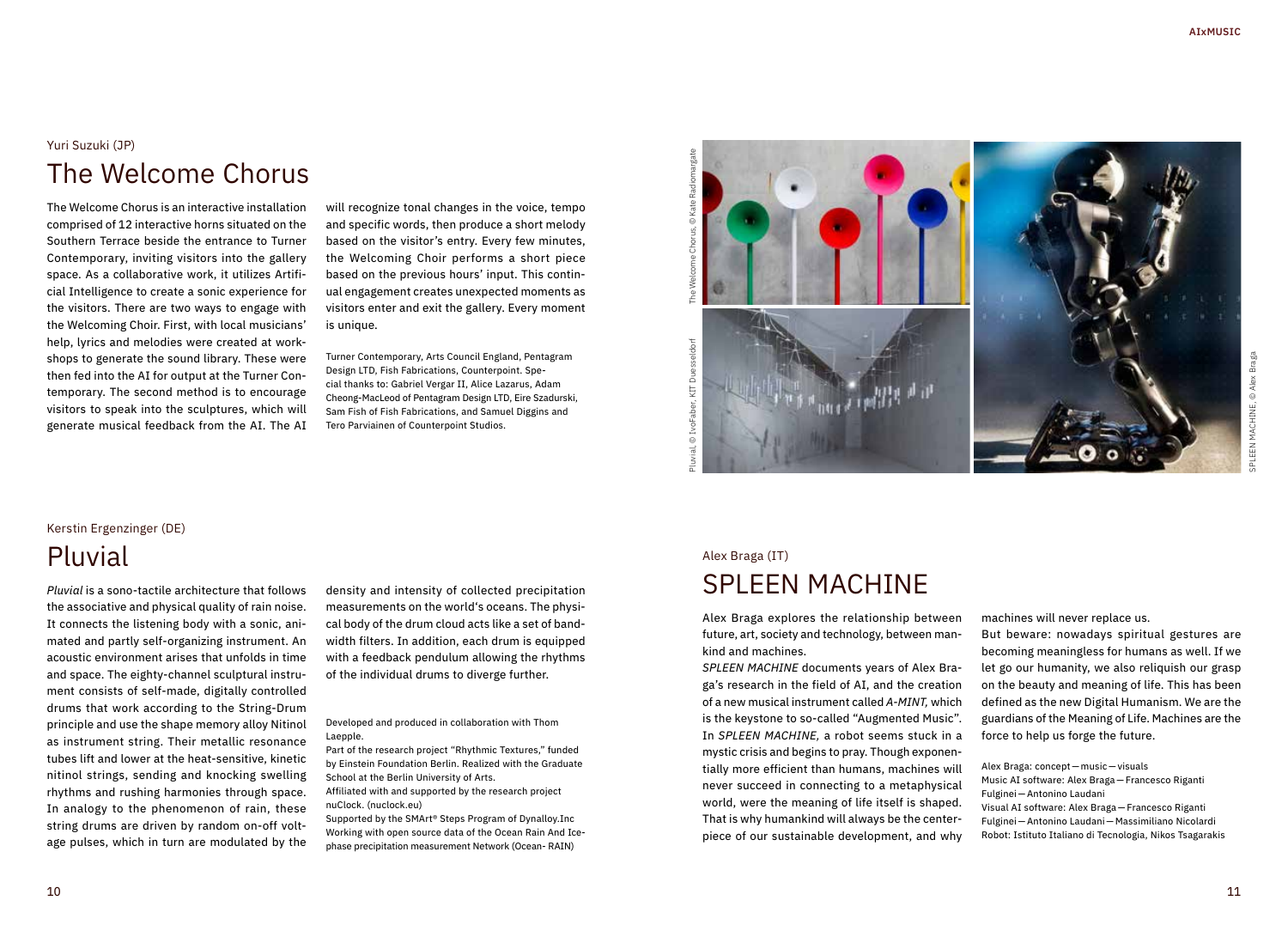## Yuri Suzuki (JP) The Welcome Chorus

The Welcome Chorus is an interactive installation comprised of 12 interactive horns situated on the Southern Terrace beside the entrance to Turner Contemporary, inviting visitors into the gallery space. As a collaborative work, it utilizes Artificial Intelligence to create a sonic experience for the visitors. There are two ways to engage with the Welcoming Choir. First, with local musicians' help, lyrics and melodies were created at workshops to generate the sound library. These were then fed into the AI for output at the Turner Contemporary. The second method is to encourage visitors to speak into the sculptures, which will generate musical feedback from the AI. The AI

will recognize tonal changes in the voice, tempo and specific words, then produce a short melody based on the visitor's entry. Every few minutes, the Welcoming Choir performs a short piece based on the previous hours' input. This continual engagement creates unexpected moments as visitors enter and exit the gallery. Every moment is unique.

Turner Contemporary, Arts Council England, Pentagram Design LTD, Fish Fabrications, Counterpoint. Special thanks to: Gabriel Vergar II, Alice Lazarus, Adam Cheong-MacLeod of Pentagram Design LTD, Eire Szadurski, Sam Fish of Fish Fabrications, and Samuel Diggins and Tero Parviainen of Counterpoint Studios.



## Kerstin Ergenzinger (DE) Pluvial

*Pluvial* is a sono-tactile architecture that follows the associative and physical quality of rain noise. It connects the listening body with a sonic, animated and partly self-organizing instrument. An acoustic environment arises that unfolds in time and space. The eighty-channel sculptural instrument consists of self-made, digitally controlled drums that work according to the String-Drum principle and use the shape memory alloy Nitinol as instrument string. Their metallic resonance tubes lift and lower at the heat-sensitive, kinetic nitinol strings, sending and knocking swelling rhythms and rushing harmonies through space. In analogy to the phenomenon of rain, these string drums are driven by random on-off voltage pulses, which in turn are modulated by the

density and intensity of collected precipitation measurements on the world's oceans. The physical body of the drum cloud acts like a set of bandwidth filters. In addition, each drum is equipped with a feedback pendulum allowing the rhythms of the individual drums to diverge further.

Developed and produced in collaboration with Thom Laepple.

Part of the research project "Rhythmic Textures," funded by Einstein Foundation Berlin. Realized with the Graduate School at the Berlin University of Arts.

Affiliated with and supported by the research project nuClock. (nuclock.eu)

Supported by the SMArt® Steps Program of Dynalloy.Inc Working with open source data of the Ocean Rain And Icephase precipitation measurement Network (Ocean- RAIN)

## Alex Braga (IT) SPLEEN MACHINE

Alex Braga explores the relationship between future, art, society and technology, between mankind and machines.

*SPLEEN MACHINE* documents years of Alex Braga's research in the field of AI, and the creation of a new musical instrument called *A-MINT,* which is the keystone to so-called "Augmented Music". In *SPLEEN MACHINE,* a robot seems stuck in a mystic crisis and begins to pray. Though exponentially more efficient than humans, machines will never succeed in connecting to a metaphysical world, were the meaning of life itself is shaped. That is why humankind will always be the centerpiece of our sustainable development, and why machines will never replace us.

But beware: nowadays spiritual gestures are becoming meaningless for humans as well. If we let go our humanity, we also reliquish our grasp on the beauty and meaning of life. This has been defined as the new Digital Humanism. We are the guardians of the Meaning of Life. Machines are the force to help us forge the future.

Alex Braga: concept— music—visuals Music AI software: Alex Braga—Francesco Riganti Fulginei—Antonino Laudani Visual AI software: Alex Braga—Francesco Riganti Fulginei—Antonino Laudani— Massimiliano Nicolardi Robot: Istituto Italiano di Tecnologia, Nikos Tsagarakis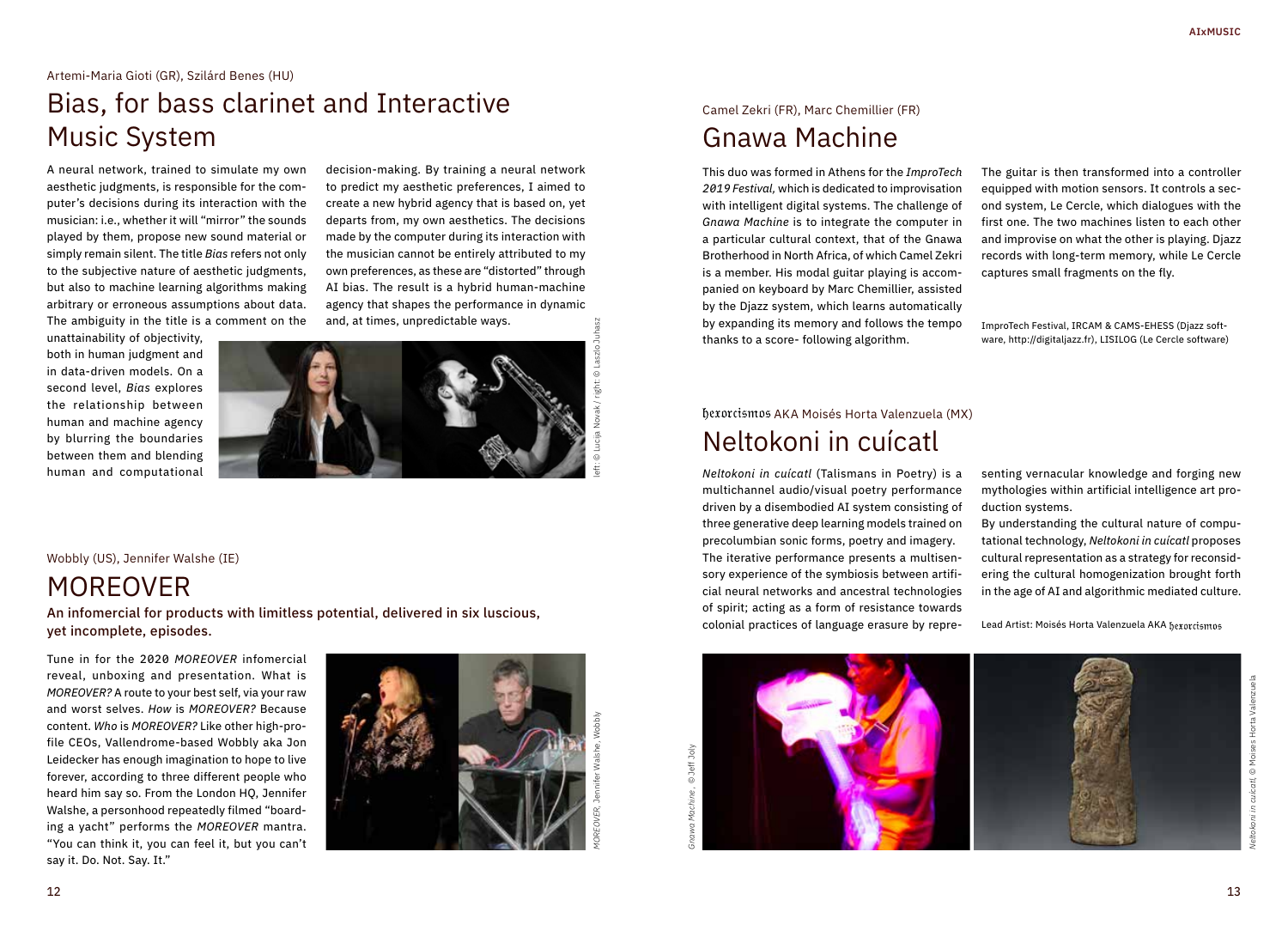#### Artemi-Maria Gioti (GR), Szilárd Benes (HU)

## Bias, for bass clarinet and Interactive Music System

A neural network, trained to simulate my own aesthetic judgments, is responsible for the computer's decisions during its interaction with the musician: i.e., whether it will "mirror" the sounds played by them, propose new sound material or simply remain silent. The title *Bias* refers not only to the subjective nature of aesthetic judgments, but also to machine learning algorithms making arbitrary or erroneous assumptions about data. The ambiguity in the title is a comment on the

unattainability of objectivity, both in human judgment and in data-driven models. On a second level, *Bias* explores the relationship between human and machine agency by blurring the boundaries between them and blending human and computational

decision-making. By training a neural network to predict my aesthetic preferences, I aimed to create a new hybrid agency that is based on, yet departs from, my own aesthetics. The decisions made by the computer during its interaction with the musician cannot be entirely attributed to my own preferences, as these are "distorted" through AI bias. The result is a hybrid human-machine agency that shapes the performance in dynamic and, at times, unpredictable ways.



left: © Lucija Novak / right: © Laszlo Juhasz

#### Wobbly (US), Jennifer Walshe (IE)

## MOREOVER

An infomercial for products with limitless potential, delivered in six luscious, yet incomplete, episodes.

Tune in for the 2020 *MOREOVER* infomercial reveal, unboxing and presentation. What is *MOREOVER?* A route to your best self, via your raw and worst selves. *How* is *MOREOVER?* Because content. *Who* is *MOREOVER?* Like other high-profile CEOs, Vallendrome-based Wobbly aka Jon Leidecker has enough imagination to hope to live forever, according to three different people who heard him say so. From the London HQ, Jennifer Walshe, a personhood repeatedly filmed "boarding a yacht" performs the *MOREOVER* mantra. "You can think it, you can feel it, but you can't say it. Do. Not. Say. It."



## Camel Zekri (FR), Marc Chemillier (FR) Gnawa Machine

This duo was formed in Athens for the *ImproTech 2019 Festival,* which is dedicated to improvisation with intelligent digital systems. The challenge of *Gnawa Machine* is to integrate the computer in a particular cultural context, that of the Gnawa Brotherhood in North Africa, of which Camel Zekri is a member. His modal guitar playing is accompanied on keyboard by Marc Chemillier, assisted by the Djazz system, which learns automatically by expanding its memory and follows the tempo thanks to a score- following algorithm.

The guitar is then transformed into a controller equipped with motion sensors. It controls a second system, Le Cercle, which dialogues with the first one. The two machines listen to each other and improvise on what the other is playing. Djazz records with long-term memory, while Le Cercle captures small fragments on the fly.

ImproTech Festival, IRCAM & CAMS-EHESS (Djazz software, http://digitaljazz.fr), LISILOG (Le Cercle software)

## hexorcismos AKA Moisés Horta Valenzuela (MX) Neltokoni in cuícatl

*Neltokoni in cuícatl* (Talismans in Poetry) is a multichannel audio/visual poetry performance driven by a disembodied AI system consisting of three generative deep learning models trained on precolumbian sonic forms, poetry and imagery. The iterative performance presents a multisensory experience of the symbiosis between artificial neural networks and ancestral technologies of spirit; acting as a form of resistance towards colonial practices of language erasure by representing vernacular knowledge and forging new mythologies within artificial intelligence art production systems.

By understanding the cultural nature of computational technology, *Neltokoni in cuícatl* proposes cultural representation as a strategy for reconsidering the cultural homogenization brought forth in the age of AI and algorithmic mediated culture.

Lead Artist: Moisés Horta Valenzuela AKA

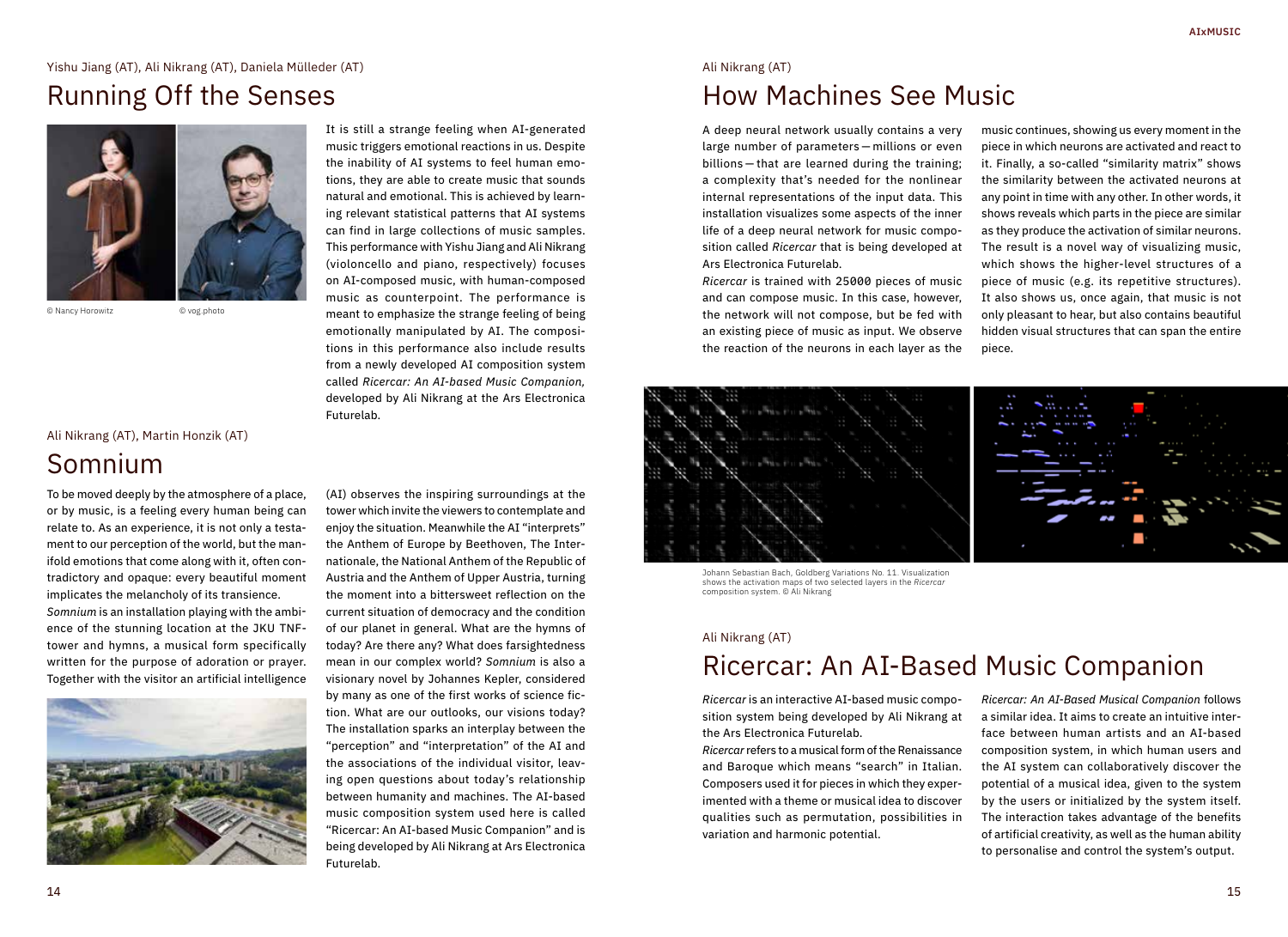### Yishu Jiang (AT), Ali Nikrang (AT), Daniela Mülleder (AT)

## Running Off the Senses



© Nancy Horowitz © vog.photo

### Ali Nikrang (AT), Martin Honzik (AT) Somnium

To be moved deeply by the atmosphere of a place, or by music, is a feeling every human being can relate to. As an experience, it is not only a testament to our perception of the world, but the manifold emotions that come along with it, often contradictory and opaque: every beautiful moment implicates the melancholy of its transience. *Somnium* is an installation playing with the ambience of the stunning location at the JKU TNFtower and hymns, a musical form specifically written for the purpose of adoration or prayer. Together with the visitor an artificial intelligence



It is still a strange feeling when AI-generated music triggers emotional reactions in us. Despite the inability of AI systems to feel human emotions, they are able to create music that sounds natural and emotional. This is achieved by learning relevant statistical patterns that AI systems can find in large collections of music samples. This performance with Yishu Jiang and Ali Nikrang (violoncello and piano, respectively) focuses on AI-composed music, with human-composed music as counterpoint. The performance is meant to emphasize the strange feeling of being emotionally manipulated by AI. The compositions in this performance also include results from a newly developed AI composition system called *Ricercar: An AI-based Music Companion,*  developed by Ali Nikrang at the Ars Electronica Futurelab.

(AI) observes the inspiring surroundings at the tower which invite the viewers to contemplate and enjoy the situation. Meanwhile the AI "interprets" the Anthem of Europe by Beethoven, The Internationale, the National Anthem of the Republic of Austria and the Anthem of Upper Austria, turning the moment into a bittersweet reflection on the current situation of democracy and the condition of our planet in general. What are the hymns of today? Are there any? What does farsightedness mean in our complex world? *Somnium* is also a visionary novel by Johannes Kepler, considered by many as one of the first works of science fiction. What are our outlooks, our visions today? The installation sparks an interplay between the "perception" and "interpretation" of the AI and the associations of the individual visitor, leaving open questions about today's relationship between humanity and machines. The AI-based music composition system used here is called "Ricercar: An AI-based Music Companion" and is being developed by Ali Nikrang at Ars Electronica Futurelab.

## Ali Nikrang (AT) How Machines See Music

A deep neural network usually contains a very large number of parameters — millions or even billions — that are learned during the training; a complexity that's needed for the nonlinear internal representations of the input data. This installation visualizes some aspects of the inner life of a deep neural network for music composition called *Ricercar* that is being developed at Ars Electronica Futurelab.

*Ricercar* is trained with 25000 pieces of music and can compose music. In this case, however, the network will not compose, but be fed with an existing piece of music as input. We observe the reaction of the neurons in each layer as the music continues, showing us every moment in the piece in which neurons are activated and react to it. Finally, a so-called "similarity matrix" shows the similarity between the activated neurons at any point in time with any other. In other words, it shows reveals which parts in the piece are similar as they produce the activation of similar neurons. The result is a novel way of visualizing music, which shows the higher-level structures of a piece of music (e.g. its repetitive structures). It also shows us, once again, that music is not only pleasant to hear, but also contains beautiful hidden visual structures that can span the entire piece.



Johann Sebastian Bach, Goldberg Variations No. 11. Visualization shows the activation maps of two selected layers in the *Ricercar* composition system. © Ali Nikrang

## Ali Nikrang (AT)

## Ricercar: An AI-Based Music Companion

*Ricercar* is an interactive AI-based music composition system being developed by Ali Nikrang at the Ars Electronica Futurelab.

*Ricercar* refers to a musical form of the Renaissance and Baroque which means "search" in Italian. Composers used it for pieces in which they experimented with a theme or musical idea to discover qualities such as permutation, possibilities in variation and harmonic potential.

*Ricercar: An AI-Based Musical Companion* follows a similar idea. It aims to create an intuitive interface between human artists and an AI-based composition system, in which human users and the AI system can collaboratively discover the potential of a musical idea, given to the system by the users or initialized by the system itself. The interaction takes advantage of the benefits of artificial creativity, as well as the human ability to personalise and control the system's output.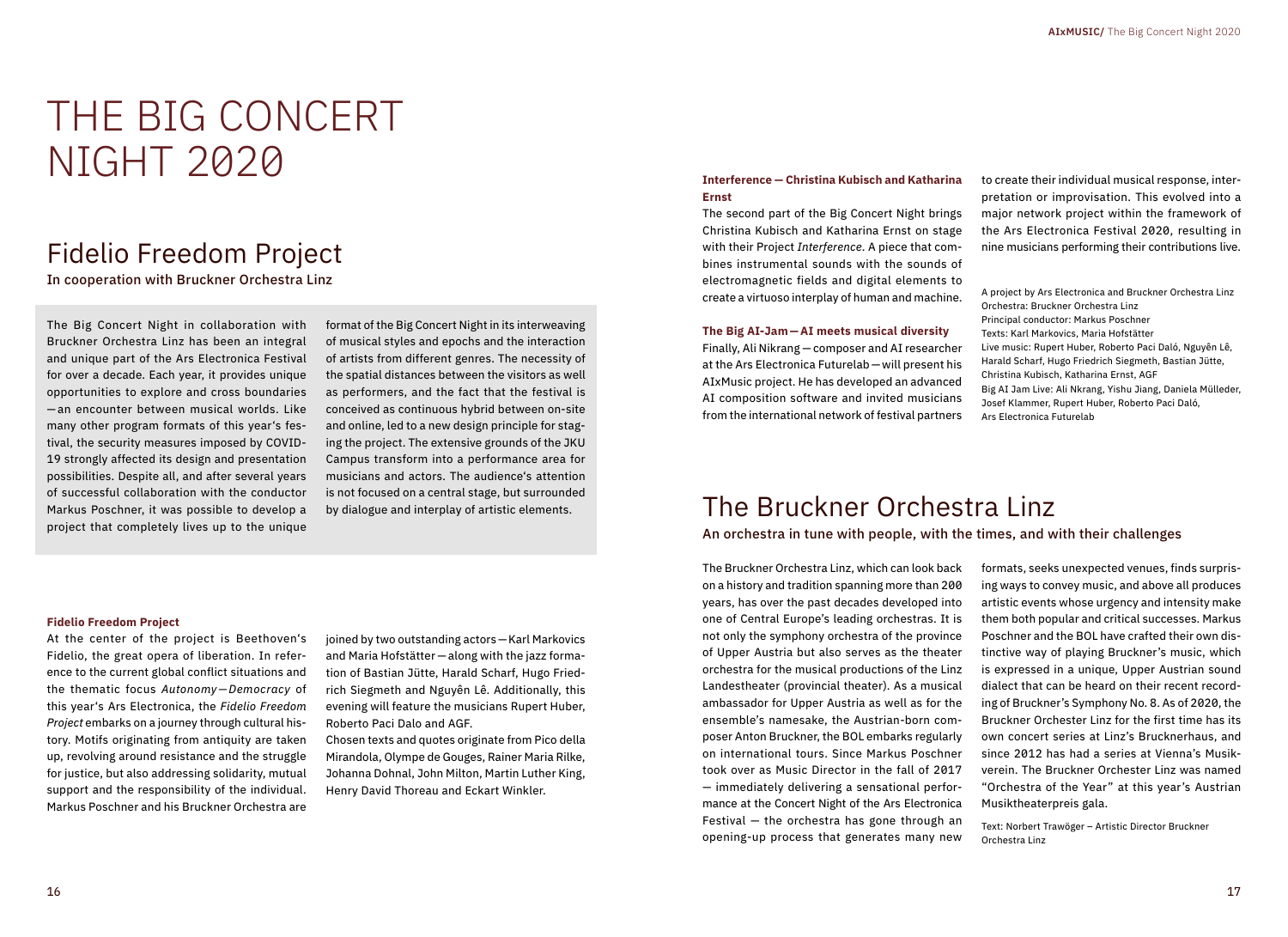# THE BIG CONCERT NIGHT 2020

## Fidelio Freedom Project

In cooperation with Bruckner Orchestra Linz

The Big Concert Night in collaboration with Bruckner Orchestra Linz has been an integral and unique part of the Ars Electronica Festival for over a decade. Each year, it provides unique opportunities to explore and cross boundaries — an encounter between musical worlds. Like many other program formats of this year's festival, the security measures imposed by COVID-19 strongly affected its design and presentation possibilities. Despite all, and after several years of successful collaboration with the conductor Markus Poschner, it was possible to develop a project that completely lives up to the unique

format of the Big Concert Night in its interweaving of musical styles and epochs and the interaction of artists from different genres. The necessity of the spatial distances between the visitors as well as performers, and the fact that the festival is conceived as continuous hybrid between on-site and online, led to a new design principle for staging the project. The extensive grounds of the JKU Campus transform into a performance area for musicians and actors. The audience's attention is not focused on a central stage, but surrounded by dialogue and interplay of artistic elements.

#### **Interference — Christina Kubisch and Katharina Ernst**

The second part of the Big Concert Night brings Christina Kubisch and Katharina Ernst on stage with their Project *Interference*. A piece that combines instrumental sounds with the sounds of electromagnetic fields and digital elements to create a virtuoso interplay of human and machine.

#### **The Big AI-Jam — AI meets musical diversity**

Finally, Ali Nikrang — composer and AI researcher at the Ars Electronica Futurelab — will present his AIxMusic project. He has developed an advanced AI composition software and invited musicians from the international network of festival partners to create their individual musical response, interpretation or improvisation. This evolved into a major network project within the framework of the Ars Electronica Festival 2020, resulting in nine musicians performing their contributions live.

A project by Ars Electronica and Bruckner Orchestra Linz Orchestra: Bruckner Orchestra Linz Principal conductor: Markus Poschner Texts: Karl Markovics, Maria Hofstätter Live music: Rupert Huber, Roberto Paci Daló, Nguyên Lê, Harald Scharf, Hugo Friedrich Siegmeth, Bastian Jütte, Christina Kubisch, Katharina Ernst, AGF Big AI Jam Live: Ali Nkrang, Yishu Jiang, Daniela Mülleder, Josef Klammer, Rupert Huber, Roberto Paci Daló, Ars Electronica Futurelab

## The Bruckner Orchestra Linz

An orchestra in tune with people, with the times, and with their challenges

The Bruckner Orchestra Linz, which can look back on a history and tradition spanning more than 200 years, has over the past decades developed into one of Central Europe's leading orchestras. It is not only the symphony orchestra of the province of Upper Austria but also serves as the theater orchestra for the musical productions of the Linz Landestheater (provincial theater). As a musical ambassador for Upper Austria as well as for the ensemble's namesake, the Austrian-born composer Anton Bruckner, the BOL embarks regularly on international tours. Since Markus Poschner took over as Music Director in the fall of 2017 — immediately delivering a sensational performance at the Concert Night of the Ars Electronica Festival — the orchestra has gone through an opening-up process that generates many new

formats, seeks unexpected venues, finds surprising ways to convey music, and above all produces artistic events whose urgency and intensity make them both popular and critical successes. Markus Poschner and the BOL have crafted their own distinctive way of playing Bruckner's music, which is expressed in a unique, Upper Austrian sound dialect that can be heard on their recent recording of Bruckner's Symphony No. 8. As of 2020, the Bruckner Orchester Linz for the first time has its own concert series at Linz's Brucknerhaus, and since 2012 has had a series at Vienna's Musikverein. The Bruckner Orchester Linz was named "Orchestra of the Year" at this year's Austrian Musiktheaterpreis gala.

Text: Norbert Trawöger – Artistic Director Bruckner Orchestra Linz

#### **Fidelio Freedom Project**

At the center of the project is Beethoven's Fidelio, the great opera of liberation. In reference to the current global conflict situations and the thematic focus *Autonomy—Democracy* of this year's Ars Electronica, the *Fidelio Freedom Project* embarks on a journey through cultural history. Motifs originating from antiquity are taken up, revolving around resistance and the struggle for justice, but also addressing solidarity, mutual support and the responsibility of the individual. Markus Poschner and his Bruckner Orchestra are

joined by two outstanding actors — Karl Markovics and Maria Hofstätter — along with the jazz formation of Bastian Jütte, Harald Scharf, Hugo Friedrich Siegmeth and Nguyên Lê. Additionally, this evening will feature the musicians Rupert Huber, Roberto Paci Dalo and AGF.

Chosen texts and quotes originate from Pico della Mirandola, Olympe de Gouges, Rainer Maria Rilke, Johanna Dohnal, John Milton, Martin Luther King, Henry David Thoreau and Eckart Winkler.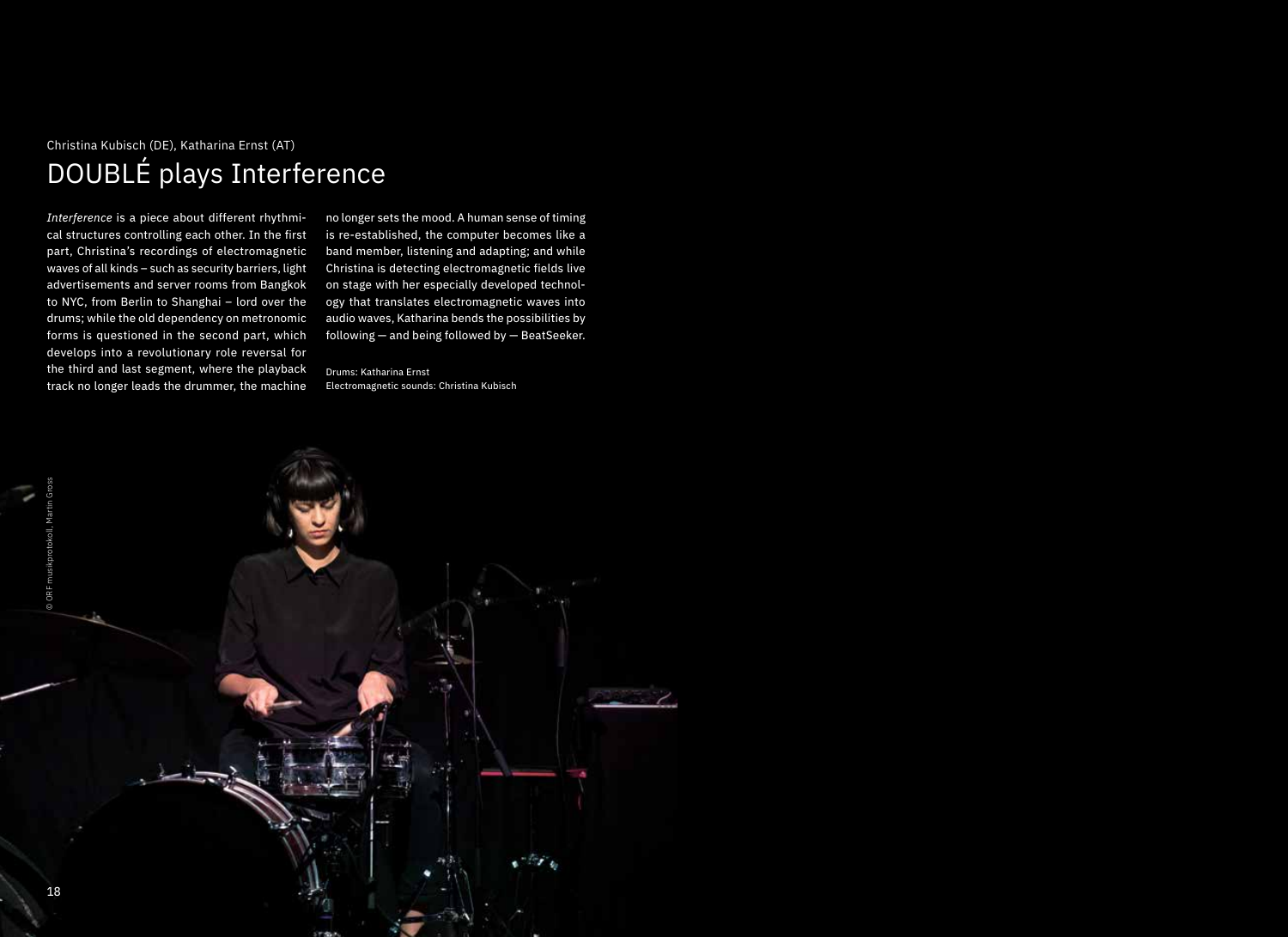## Christina Kubisch (DE), Katharina Ernst (AT) DOUBLÉ plays Interference

*Interference* is a piece about different rhythmical structures controlling each other. In the first part, Christina's recordings of electromagnetic waves of all kinds – such as security barriers, light advertisements and server rooms from Bangkok to NYC, from Berlin to Shanghai – lord over the drums; while the old dependency on metronomic forms is questioned in the second part, which develops into a revolutionary role reversal for the third and last segment, where the playback track no longer leads the drummer, the machine

no longer sets the mood. A human sense of timing is re-established, the computer becomes like a band member, listening and adapting; and while Christina is detecting electromagnetic fields live on stage with her especially developed technology that translates electromagnetic waves into audio waves, Katharina bends the possibilities by following — and being followed by — BeatSeeker.

Drums: Katharina Ernst Electromagnetic sounds: Christina Kubisch